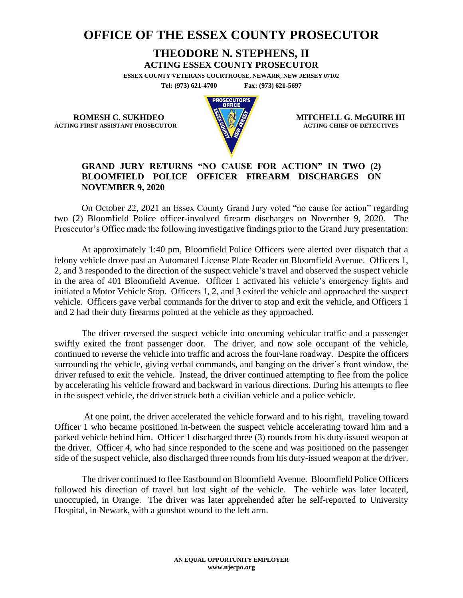## **OFFICE OF THE ESSEX COUNTY PROSECUTOR**

## **THEODORE N. STEPHENS, II**

**ACTING ESSEX COUNTY PROSECUTOR**

**ESSEX COUNTY VETERANS COURTHOUSE, NEWARK, NEW JERSEY 07102 Tel: (973) 621-4700 Fax: (973) 621-5697**

**ACTING FIRST ASSISTANT PROSECUTOR** 



**ROMESH C. SUKHDEO MITCHELL G. McGUIRE III**<br>
MITCHELL G. McGUIRE III

## **GRAND JURY RETURNS "NO CAUSE FOR ACTION" IN TWO (2) BLOOMFIELD POLICE OFFICER FIREARM DISCHARGES ON NOVEMBER 9, 2020**

On October 22, 2021 an Essex County Grand Jury voted "no cause for action" regarding two (2) Bloomfield Police officer-involved firearm discharges on November 9, 2020. The Prosecutor's Office made the following investigative findings prior to the Grand Jury presentation:

At approximately 1:40 pm, Bloomfield Police Officers were alerted over dispatch that a felony vehicle drove past an Automated License Plate Reader on Bloomfield Avenue. Officers 1, 2, and 3 responded to the direction of the suspect vehicle's travel and observed the suspect vehicle in the area of 401 Bloomfield Avenue. Officer 1 activated his vehicle's emergency lights and initiated a Motor Vehicle Stop. Officers 1, 2, and 3 exited the vehicle and approached the suspect vehicle. Officers gave verbal commands for the driver to stop and exit the vehicle, and Officers 1 and 2 had their duty firearms pointed at the vehicle as they approached.

The driver reversed the suspect vehicle into oncoming vehicular traffic and a passenger swiftly exited the front passenger door. The driver, and now sole occupant of the vehicle, continued to reverse the vehicle into traffic and across the four-lane roadway. Despite the officers surrounding the vehicle, giving verbal commands, and banging on the driver's front window, the driver refused to exit the vehicle. Instead, the driver continued attempting to flee from the police by accelerating his vehicle froward and backward in various directions. During his attempts to flee in the suspect vehicle, the driver struck both a civilian vehicle and a police vehicle.

At one point, the driver accelerated the vehicle forward and to his right, traveling toward Officer 1 who became positioned in-between the suspect vehicle accelerating toward him and a parked vehicle behind him. Officer 1 discharged three (3) rounds from his duty-issued weapon at the driver. Officer 4, who had since responded to the scene and was positioned on the passenger side of the suspect vehicle, also discharged three rounds from his duty-issued weapon at the driver.

The driver continued to flee Eastbound on Bloomfield Avenue. Bloomfield Police Officers followed his direction of travel but lost sight of the vehicle. The vehicle was later located, unoccupied, in Orange. The driver was later apprehended after he self-reported to University Hospital, in Newark, with a gunshot wound to the left arm.